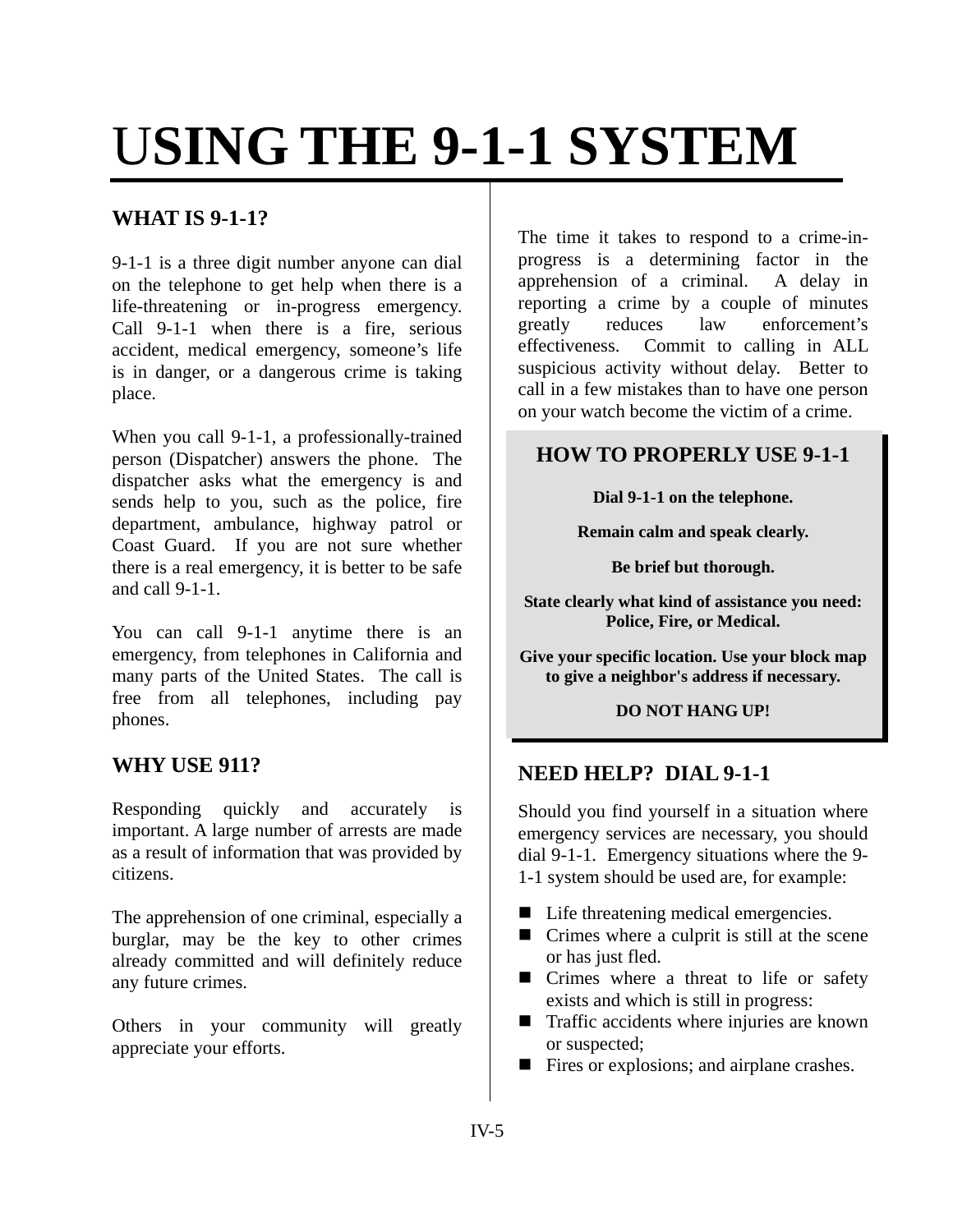# U**SING THE 9-1-1 SYSTEM**

## **WHAT IS 9-1-1?**

9-1-1 is a three digit number anyone can dial on the telephone to get help when there is a life-threatening or in-progress emergency. Call 9-1-1 when there is a fire, serious accident, medical emergency, someone's life is in danger, or a dangerous crime is taking place.

When you call 9-1-1, a professionally-trained person (Dispatcher) answers the phone. The dispatcher asks what the emergency is and sends help to you, such as the police, fire department, ambulance, highway patrol or Coast Guard. If you are not sure whether there is a real emergency, it is better to be safe and call 9-1-1.

You can call 9-1-1 anytime there is an emergency, from telephones in California and many parts of the United States. The call is free from all telephones, including pay phones.

#### **WHY USE 911?**

Responding quickly and accurately is important. A large number of arrests are made as a result of information that was provided by citizens.

The apprehension of one criminal, especially a burglar, may be the key to other crimes already committed and will definitely reduce any future crimes.

Others in your community will greatly appreciate your efforts.

The time it takes to respond to a crime-inprogress is a determining factor in the apprehension of a criminal. A delay in reporting a crime by a couple of minutes greatly reduces law enforcement's effectiveness. Commit to calling in ALL suspicious activity without delay. Better to call in a few mistakes than to have one person on your watch become the victim of a crime.

# **HOW TO PROPERLY USE 9-1-1**

**Dial 9-1-1 on the telephone.** 

**Remain calm and speak clearly.** 

**Be brief but thorough.** 

**State clearly what kind of assistance you need: Police, Fire, or Medical.** 

**Give your specific location. Use your block map to give a neighbor's address if necessary.** 

#### **DO NOT HANG UP!**

#### **NEED HELP? DIAL 9-1-1**

Should you find yourself in a situation where emergency services are necessary, you should dial 9-1-1. Emergency situations where the 9- 1-1 system should be used are, for example:

- Life threatening medical emergencies.
- $\blacksquare$  Crimes where a culprit is still at the scene or has just fled.
- Crimes where a threat to life or safety exists and which is still in progress:
- Traffic accidents where injuries are known or suspected;
- Fires or explosions; and airplane crashes.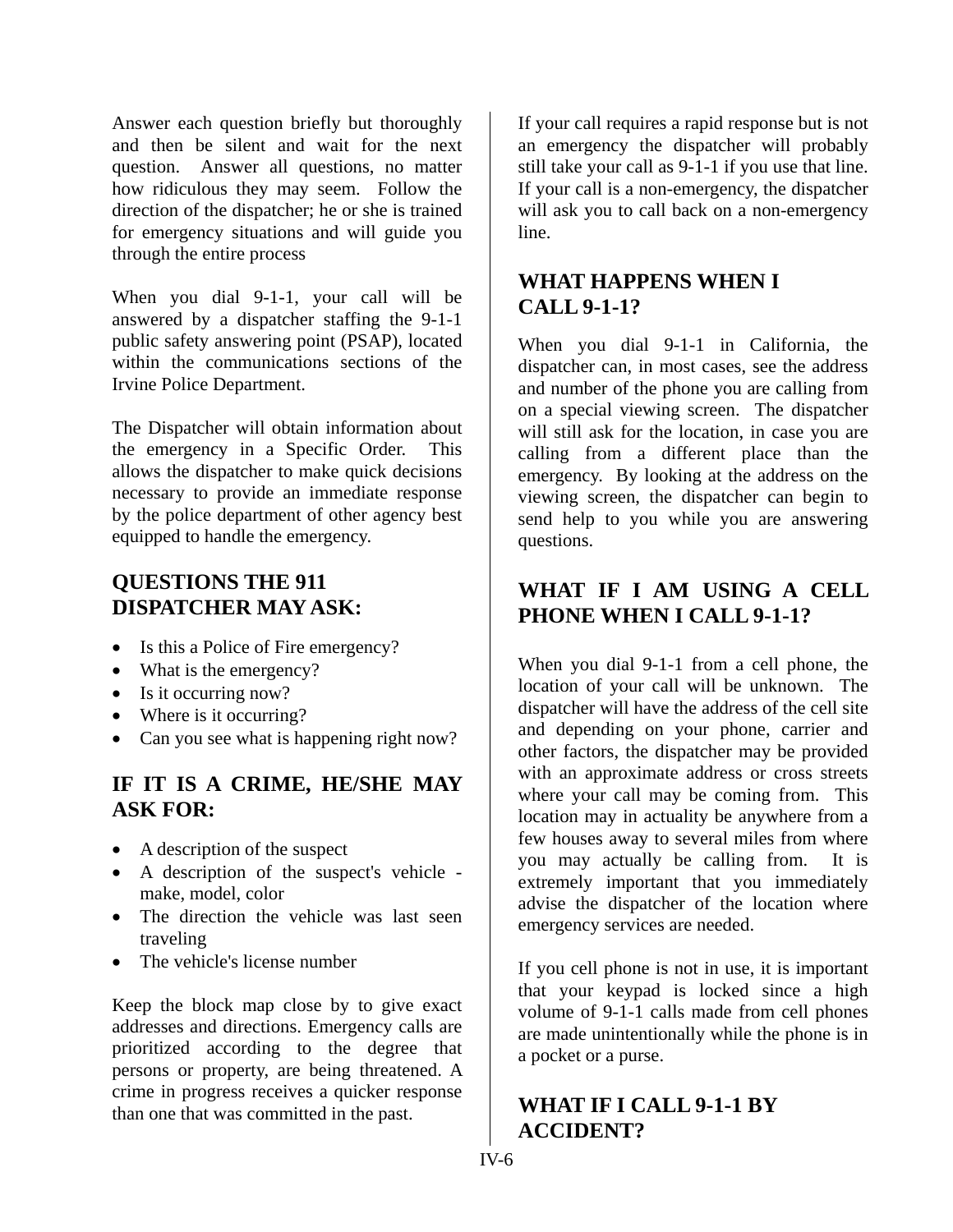Answer each question briefly but thoroughly and then be silent and wait for the next question. Answer all questions, no matter how ridiculous they may seem. Follow the direction of the dispatcher; he or she is trained for emergency situations and will guide you through the entire process

When you dial 9-1-1, your call will be answered by a dispatcher staffing the 9-1-1 public safety answering point (PSAP), located within the communications sections of the Irvine Police Department.

The Dispatcher will obtain information about the emergency in a Specific Order. This allows the dispatcher to make quick decisions necessary to provide an immediate response by the police department of other agency best equipped to handle the emergency.

## **QUESTIONS THE 911 DISPATCHER MAY ASK:**

- Is this a Police of Fire emergency?
- What is the emergency?
- Is it occurring now?
- Where is it occurring?
- Can you see what is happening right now?

#### **IF IT IS A CRIME, HE/SHE MAY ASK FOR:**

- A description of the suspect
- A description of the suspect's vehicle make, model, color
- The direction the vehicle was last seen traveling
- The vehicle's license number

Keep the block map close by to give exact addresses and directions. Emergency calls are prioritized according to the degree that persons or property, are being threatened. A crime in progress receives a quicker response than one that was committed in the past.

If your call requires a rapid response but is not an emergency the dispatcher will probably still take your call as 9-1-1 if you use that line. If your call is a non-emergency, the dispatcher will ask you to call back on a non-emergency line.

# **WHAT HAPPENS WHEN I CALL 9-1-1?**

When you dial 9-1-1 in California, the dispatcher can, in most cases, see the address and number of the phone you are calling from on a special viewing screen. The dispatcher will still ask for the location, in case you are calling from a different place than the emergency. By looking at the address on the viewing screen, the dispatcher can begin to send help to you while you are answering questions.

# **WHAT IF I AM USING A CELL PHONE WHEN I CALL 9-1-1?**

When you dial 9-1-1 from a cell phone, the location of your call will be unknown. The dispatcher will have the address of the cell site and depending on your phone, carrier and other factors, the dispatcher may be provided with an approximate address or cross streets where your call may be coming from. This location may in actuality be anywhere from a few houses away to several miles from where you may actually be calling from. It is extremely important that you immediately advise the dispatcher of the location where emergency services are needed.

If you cell phone is not in use, it is important that your keypad is locked since a high volume of 9-1-1 calls made from cell phones are made unintentionally while the phone is in a pocket or a purse.

## **WHAT IF I CALL 9-1-1 BY ACCIDENT?**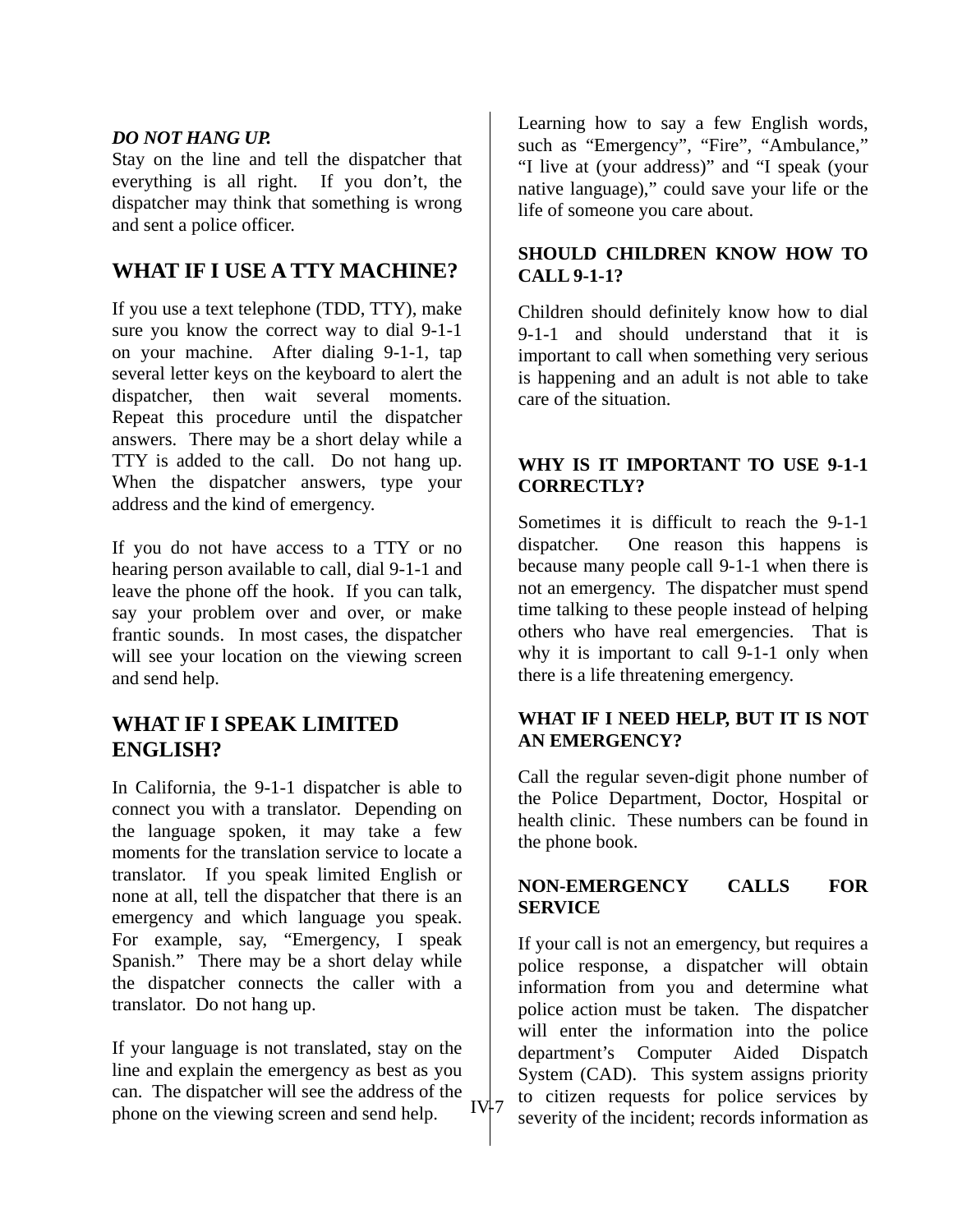#### *DO NOT HANG UP.*

Stay on the line and tell the dispatcher that everything is all right. If you don't, the dispatcher may think that something is wrong and sent a police officer.

#### **WHAT IF I USE A TTY MACHINE?**

If you use a text telephone (TDD, TTY), make sure you know the correct way to dial 9-1-1 on your machine. After dialing 9-1-1, tap several letter keys on the keyboard to alert the dispatcher, then wait several moments. Repeat this procedure until the dispatcher answers. There may be a short delay while a TTY is added to the call. Do not hang up. When the dispatcher answers, type your address and the kind of emergency.

If you do not have access to a TTY or no hearing person available to call, dial 9-1-1 and leave the phone off the hook. If you can talk, say your problem over and over, or make frantic sounds. In most cases, the dispatcher will see your location on the viewing screen and send help.

#### **WHAT IF I SPEAK LIMITED ENGLISH?**

In California, the 9-1-1 dispatcher is able to connect you with a translator. Depending on the language spoken, it may take a few moments for the translation service to locate a translator. If you speak limited English or none at all, tell the dispatcher that there is an emergency and which language you speak. For example, say, "Emergency, I speak Spanish." There may be a short delay while the dispatcher connects the caller with a translator. Do not hang up.

If your language is not translated, stay on the line and explain the emergency as best as you can. The dispatcher will see the address of the phone on the viewing screen and send help.

Learning how to say a few English words, such as "Emergency", "Fire", "Ambulance," "I live at (your address)" and "I speak (your native language)," could save your life or the life of someone you care about.

#### **SHOULD CHILDREN KNOW HOW TO CALL 9-1-1?**

Children should definitely know how to dial 9-1-1 and should understand that it is important to call when something very serious is happening and an adult is not able to take care of the situation.

#### **WHY IS IT IMPORTANT TO USE 9-1-1 CORRECTLY?**

Sometimes it is difficult to reach the 9-1-1 dispatcher. One reason this happens is because many people call 9-1-1 when there is not an emergency. The dispatcher must spend time talking to these people instead of helping others who have real emergencies. That is why it is important to call 9-1-1 only when there is a life threatening emergency.

#### **WHAT IF I NEED HELP, BUT IT IS NOT AN EMERGENCY?**

Call the regular seven-digit phone number of the Police Department, Doctor, Hospital or health clinic. These numbers can be found in the phone book.

#### **NON-EMERGENCY CALLS FOR SERVICE**

If your call is not an emergency, but requires a police response, a dispatcher will obtain information from you and determine what police action must be taken. The dispatcher will enter the information into the police department's Computer Aided Dispatch System (CAD). This system assigns priority to citizen requests for police services by  $IV^2$  is equiven to request to the incident; records information as IV-7